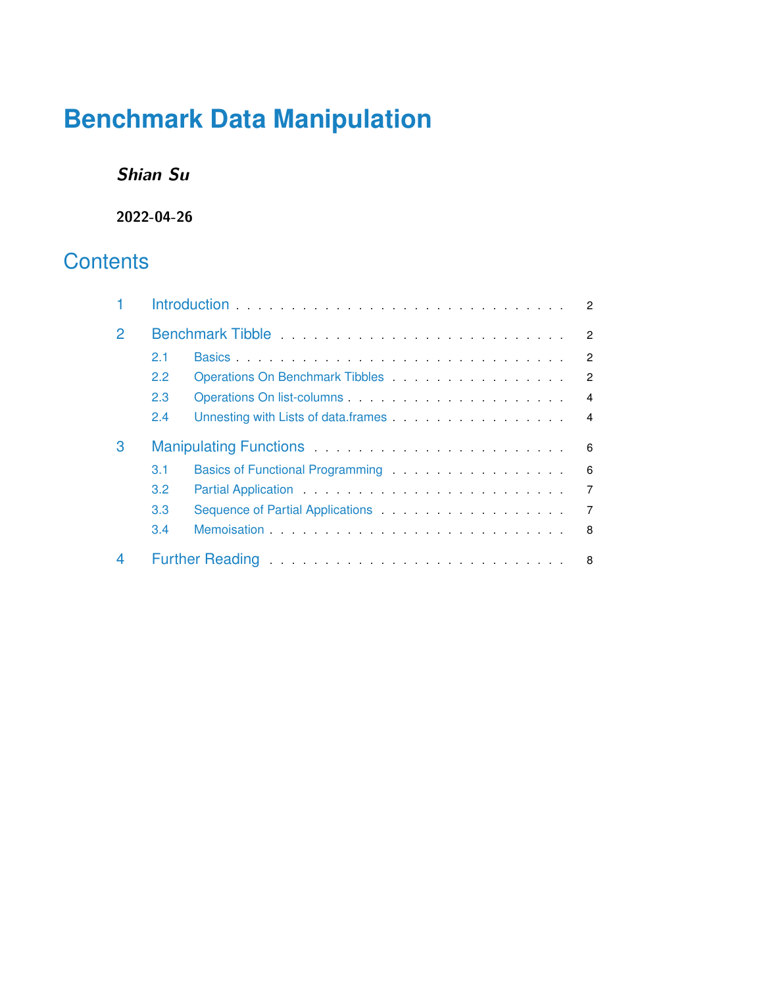# **Benchmark Data Manipulation**

# **Shian Su**

**2022-04-26**

# **Contents**

| $\overline{2}$ |               | Benchmark Tibble <b>Exercise Contract Contract Contract Contract Contract Contract Contract Contract Contract Contract Contract Contract Contract Contract Contract Contract Contract Contract Contract Contract Contract Contra</b><br>2            |  |  |
|----------------|---------------|------------------------------------------------------------------------------------------------------------------------------------------------------------------------------------------------------------------------------------------------------|--|--|
|                | 2.1           | $\mathcal{P}$                                                                                                                                                                                                                                        |  |  |
|                | $2.2^{\circ}$ | Operations On Benchmark Tibbles <b>Constanting Constanting Constanting Constanting Constanting Constanting Constanting Constanting Constanting Constanting Constanting Constanting Constanting Constanting Constanting Constanti</b><br>$\mathbf{2}$ |  |  |
|                | 2.3           | $\overline{4}$                                                                                                                                                                                                                                       |  |  |
|                | 2.4           | Unnesting with Lists of data frames <b>Constanting With Lists of data frames</b><br>$\overline{4}$                                                                                                                                                   |  |  |
| 3              | 6             |                                                                                                                                                                                                                                                      |  |  |
|                | 3.1           | Basics of Functional Programming <b>Exercise 20</b> Reserve the Contract of Programming<br>6                                                                                                                                                         |  |  |
|                | 3.2           | $\overline{7}$                                                                                                                                                                                                                                       |  |  |
|                | 3.3           | $\overline{7}$                                                                                                                                                                                                                                       |  |  |
|                | 3.4           | 8                                                                                                                                                                                                                                                    |  |  |
|                |               | Further Reading <b>Figure 2018 Contract Contract Contract Contract Contract Contract Contract Contract Contract Contract Contract Contract Contract Contract Contract Contract Contract Contract Contract Contract Contract Co</b><br>- 8            |  |  |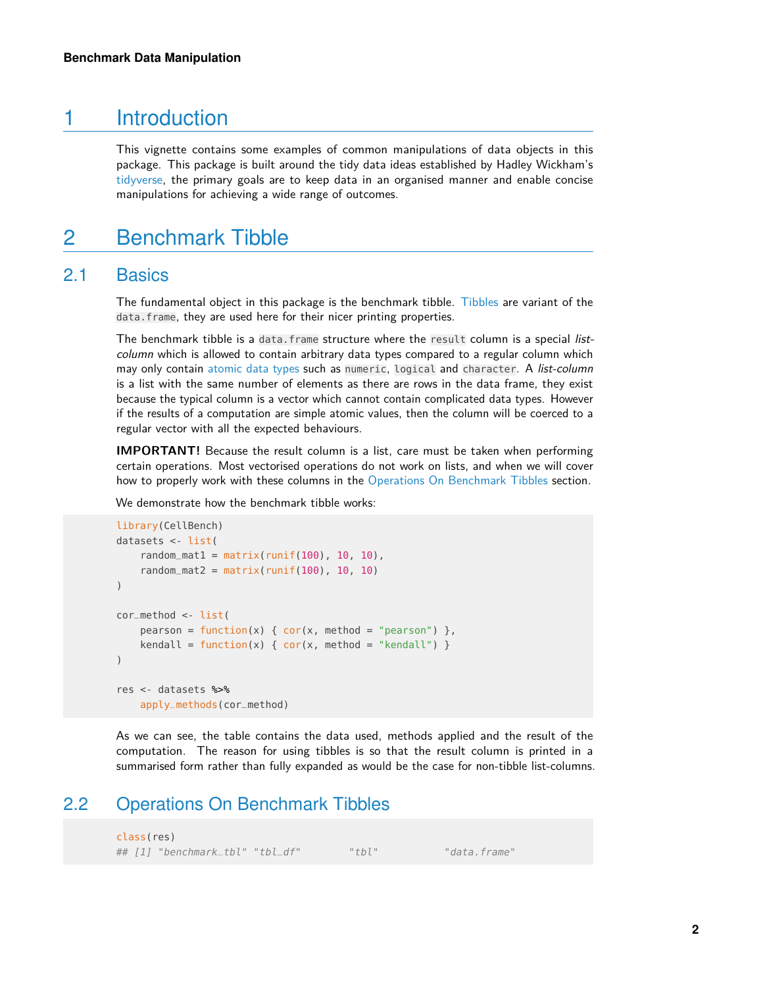## 1 Introduction

<span id="page-1-1"></span><span id="page-1-0"></span>This vignette contains some examples of common manipulations of data objects in this package. This package is built around the tidy data ideas established by Hadley Wickham's [tidyverse,](https://www.tidyverse.org) the primary goals are to keep data in an organised manner and enable concise manipulations for achieving a wide range of outcomes.

# 2 Benchmark Tibble

### 2.1 Basics

<span id="page-1-2"></span>The fundamental object in this package is the benchmark tibble. [Tibbles](https://cran.r-project.org/web/packages/tibble/vignettes/tibble.html) are variant of the data.frame, they are used here for their nicer printing properties.

The benchmark tibble is a data.frame structure where the result column is a special listcolumn which is allowed to contain arbitrary data types compared to a regular column which may only contain [atomic data types](https://cran.r-project.org/doc/manuals/r-release/R-lang.html#Vector-objects) such as numeric, logical and character. A list-column is a list with the same number of elements as there are rows in the data frame, they exist because the typical column is a vector which cannot contain complicated data types. However if the results of a computation are simple atomic values, then the column will be coerced to a regular vector with all the expected behaviours.

**IMPORTANT!** Because the result column is a list, care must be taken when performing certain operations. Most vectorised operations do not work on lists, and when we will cover how to properly work with these columns in the [Operations On Benchmark Tibbles](#page-1-3) section.

We demonstrate how the benchmark tibble works:

```
library(CellBench)
datasets <- list(
    random_mat1 = matrix(runif(100), 10, 10),
    random_mat2 = matrix(runif(100), 10, 10)
)
cor_method <- list(
    pearson = function(x) { cor(x, \text{ method} = "pearson") },
    kendall = function(x) { cor(x, method = "kendall") })
res <- datasets %>%
    apply_methods(cor_method)
```
<span id="page-1-3"></span>As we can see, the table contains the data used, methods applied and the result of the computation. The reason for using tibbles is so that the result column is printed in a summarised form rather than fully expanded as would be the case for non-tibble list-columns.

### 2.2 Operations On Benchmark Tibbles

class(res) ## [1] "benchmark\_tbl" "tbl\_df" "tbl" "data.frame"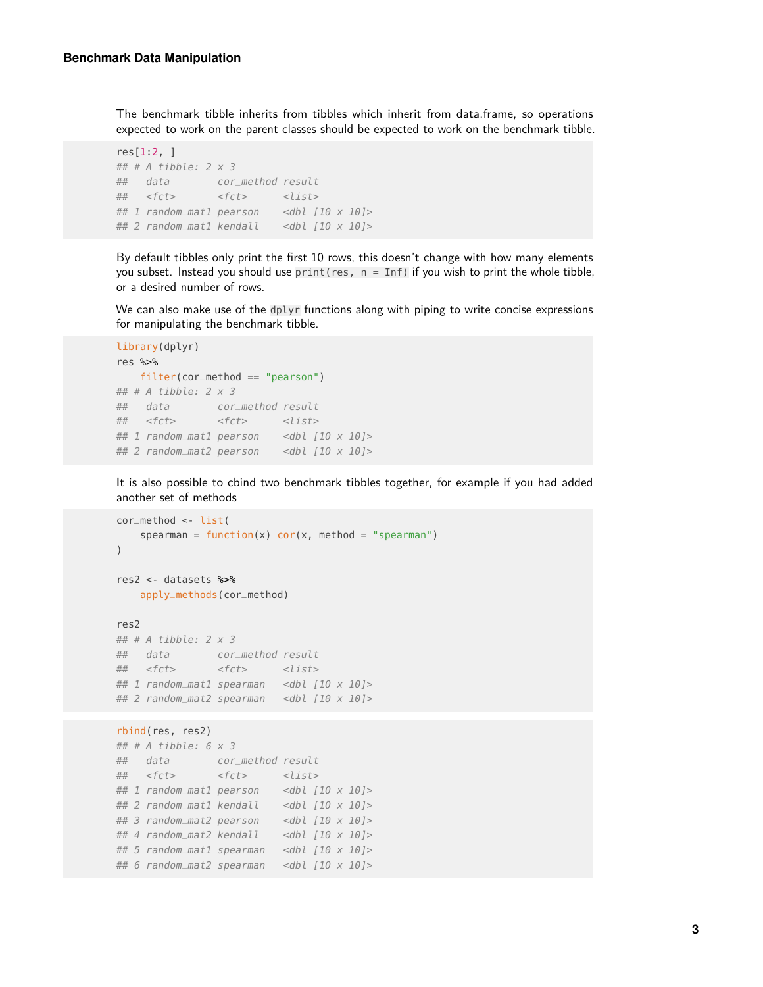The benchmark tibble inherits from tibbles which inherit from data.frame, so operations expected to work on the parent classes should be expected to work on the benchmark tibble.

```
res[1:2, ]
## # A tibble: 2 x 3
## data cor_method result
## <fct> <fct> <list>
## 1 random_mat1 pearson <dbl [10 x 10]>
## 2 random_mat1 kendall <dbl [10 x 10]>
```
By default tibbles only print the first 10 rows, this doesn't change with how many elements you subset. Instead you should use  $print(res, n = Inf)$  if you wish to print the whole tibble, or a desired number of rows.

We can also make use of the dplyr functions along with piping to write concise expressions for manipulating the benchmark tibble.

```
library(dplyr)
res %>%
   filter(cor_method == "pearson")
## # A tibble: 2 x 3
## data cor_method result
## <fct> <fct> <list>
## 1 random_mat1 pearson <dbl [10 x 10]>
## 2 random_mat2 pearson <dbl [10 x 10]>
```
It is also possible to cbind two benchmark tibbles together, for example if you had added another set of methods

```
cor_method <- list(
   spearman = function(x) cor(x, method = "spearman")
)
res2 <- datasets %>%
   apply_methods(cor_method)
res2
## # A tibble: 2 x 3
## data cor_method result
## <fct> <fct> <list>
## 1 random_mat1 spearman <dbl [10 x 10]>
## 2 random_mat2 spearman <dbl [10 x 10]>
rbind(res, res2)
## # A tibble: 6 \times 3## data cor_method result
## <fct> <fct> <list>
## 1 random_mat1 pearson <dbl [10 x 10]>
\# 2 random_mat1 kendall <dbl [10 x 10]>
## 3 random_mat2 pearson <dbl [10 x 10]>
## 4 random_mat2 kendall <dbl [10 x 10]>
## 5 random_mat1 spearman <dbl [10 x 10]>
## 6 random_mat2 spearman <dbl [10 x 10]>
```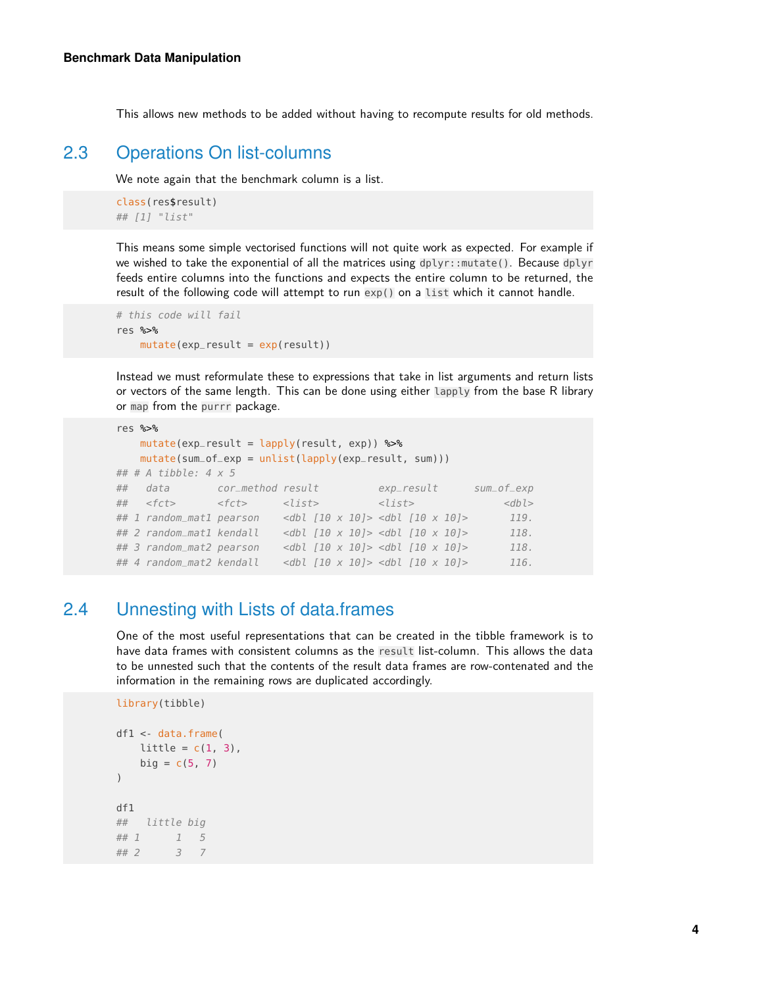<span id="page-3-0"></span>This allows new methods to be added without having to recompute results for old methods.

### 2.3 Operations On list-columns

We note again that the benchmark column is a list.

```
class(res$result)
## [1] "list"
```
This means some simple vectorised functions will not quite work as expected. For example if we wished to take the exponential of all the matrices using dplyr::mutate(). Because dplyr feeds entire columns into the functions and expects the entire column to be returned, the result of the following code will attempt to run exp() on a list which it cannot handle.

```
# this code will fail
res %>%
    mutate(exp\_result = exp(result))
```
Instead we must reformulate these to expressions that take in list arguments and return lists or vectors of the same length. This can be done using either lapply from the base R library or map from the purrr package.

```
res %>%
   mutate(exp\_result = lapply(result, exp)) %>%
   mutate(sum_of_exp = units(tlapply(exp_result, sum)))## # A tibble: 4 x 5
## data cor_method result exp_result sum_of_exp
## <fct> <fct> <list> <list> <dbl>
## 1 random_mat1 pearson <dbl [10 x 10]> <dbl [10 x 10]> 119.
## 2 random_mat1 kendall <dbl [10 x 10]> <dbl [10 x 10]> 118.
## 3 random_mat2 pearson <dbl [10 x 10]> <dbl [10 x 10]> 118.
## 4 random_mat2 kendall <dbl [10 x 10]> <dbl [10 x 10]> 116.
```
### 2.4 Unnesting with Lists of data.frames

<span id="page-3-1"></span>One of the most useful representations that can be created in the tibble framework is to have data frames with consistent columns as the result list-column. This allows the data to be unnested such that the contents of the result data frames are row-contenated and the information in the remaining rows are duplicated accordingly.

```
library(tibble)
df1 <- data.frame(
   little = c(1, 3),
   big = c(5, 7))
df1
## little big
## 1 1 5
## 2 3 7
```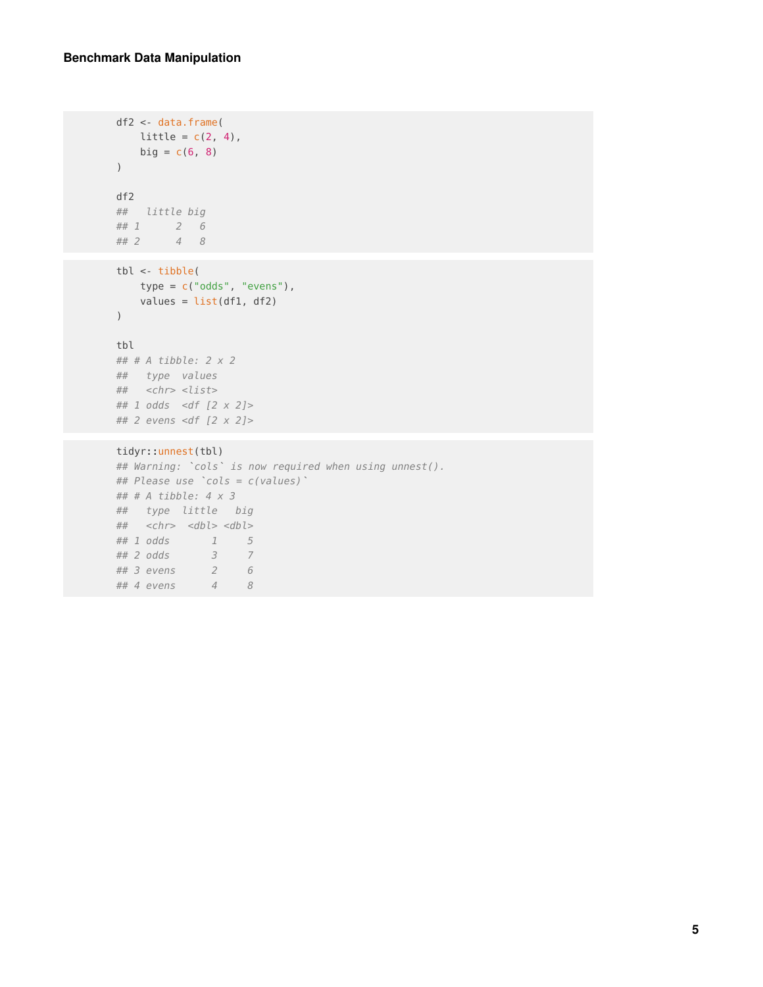```
df2 <- data.frame(
  little = c(2, 4),
   big = c(6, 8))
df2
## little big
## 1 2 6
## 2 4 8
```

```
tbl <- tibble(
  type = c("odds", "evens"),
  values = list(df1, df2)
)
```
#### tbl

```
## # A tibble: 2 x 2
## type values
## <chr> <list>
## 1 odds <df [2 x 2]>
## 2 evens <df [2 x 2]>
```
#### tidyr::unnest(tbl)

## 2 evens <df [2 x 2]><br><mark>tidyr::unnest(tbl)</mark><br>## Warning: `cols` is now required when using unnest(). t<mark>idyr::unnest(tbl)</mark><br>## Warning: `cols` is now requir<br>## Please use `cols = c(values)` ## # A tibble:  $4 \times 3$ ## type little big  $\##$  <chr> <dbl> <dbl> ## 1 odds 1 5 ## 2 odds 3 7 ## 3 evens 2 6 ## 4 evens 4 8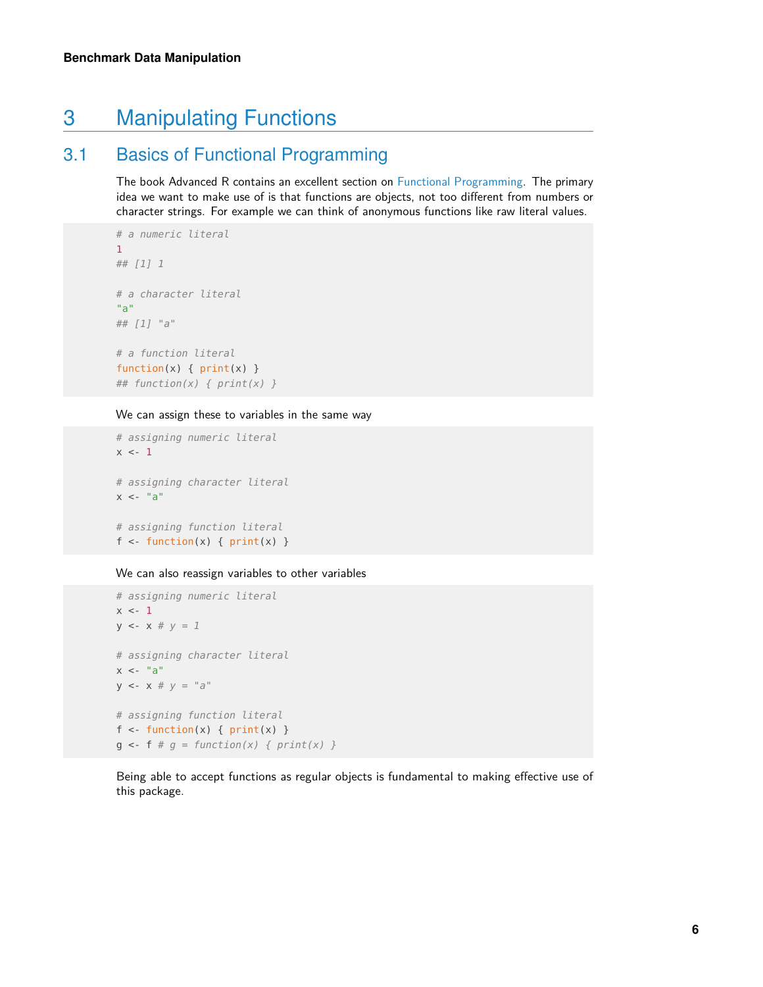# <span id="page-5-0"></span>3 Manipulating Functions

# 3.1 Basics of Functional Programming

<span id="page-5-1"></span>The book Advanced R contains an excellent section on [Functional Programming.](http://adv-r.had.co.nz/Functional-programming.html) The primary idea we want to make use of is that functions are objects, not too different from numbers or character strings. For example we can think of anonymous functions like raw literal values.

```
# a numeric literal
1
## [1] 1
# a character literal
"a"
## [1] "a"
# a function literal
function(x) { print(x) }
```
## function(x) { print(x) }

#### We can assign these to variables in the same way

```
# assigning numeric literal
x \sim -1# assigning character literal
x < - "a"
# assigning function literal
f \leq f function(x) { print(x) }
```
#### We can also reassign variables to other variables

```
# assigning numeric literal
x \le -1y \le -x \# y = 1# assigning character literal
x < - "a"
y \le - x \# y = "a"# assigning function literal
f \leq f function(x) { print(x) }
g \le -f \# g = function(x) \{ print(x) \}
```
<span id="page-5-2"></span>Being able to accept functions as regular objects is fundamental to making effective use of this package.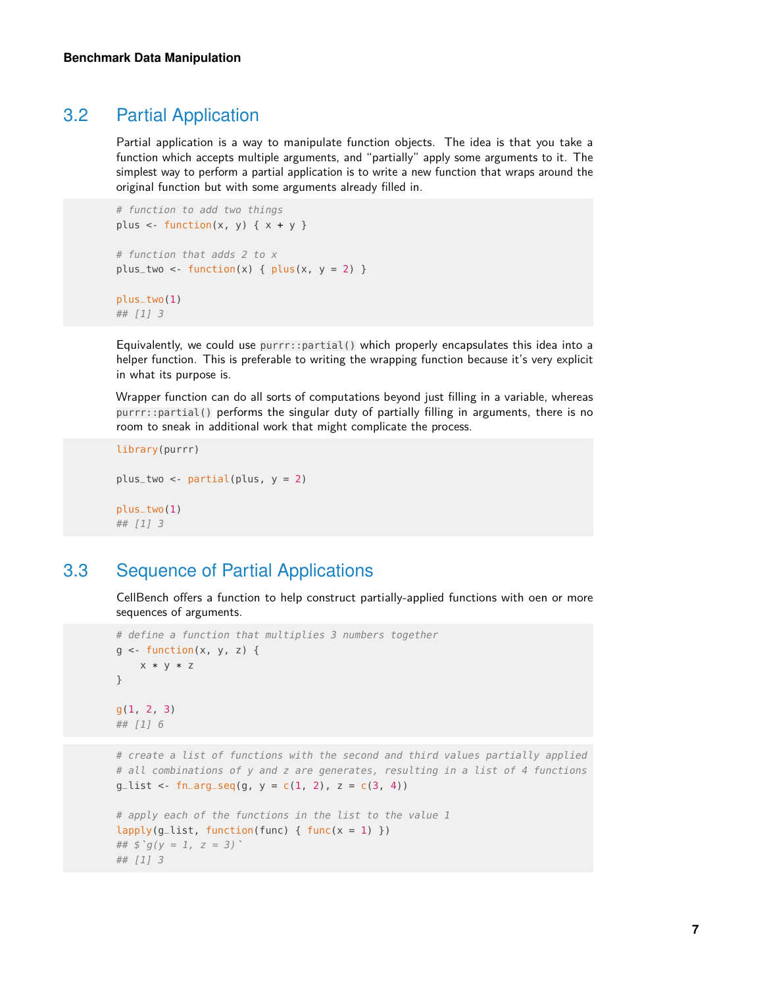### 3.2 Partial Application

Partial application is a way to manipulate function objects. The idea is that you take a function which accepts multiple arguments, and "partially" apply some arguments to it. The simplest way to perform a partial application is to write a new function that wraps around the original function but with some arguments already filled in.

```
# function to add two things
plus \leq function(x, y) { x + y }
# function that adds 2 to x
plus_two <- function(x) { plus(x, y = 2) }
plus_two(1)
```
## [1] 3

Equivalently, we could use purrr::partial() which properly encapsulates this idea into a helper function. This is preferable to writing the wrapping function because it's very explicit in what its purpose is.

Wrapper function can do all sorts of computations beyond just filling in a variable, whereas purrr::partial() performs the singular duty of partially filling in arguments, there is no room to sneak in additional work that might complicate the process.

```
library(purrr)
plus_two <- partial(plus, y = 2)
plus_two(1)
## [1] 3
```
### 3.3 Sequence of Partial Applications

<span id="page-6-0"></span>CellBench offers a function to help construct partially-applied functions with oen or more sequences of arguments.

```
# define a function that multiplies 3 numbers together
g \leq function(x, y, z) {
    x * y * z}
g(1, 2, 3)
## [1] 6
```

```
# create a list of functions with the second and third values partially applied
# all combinations of y and z are generates, resulting in a list of 4 functions
g_{\text{dist}} <- fn_arg_seq(g, y = c(1, 2), z = c(3, 4))
```

```
# apply each of the functions in the list to the value 1
lapply(g_list, function(func) { func(x = 1) })
# apply each of the f<br><mark>lapply(g_list, functi</mark><br>## $`g(y = 1, z = 3)`
## [1] 3
```